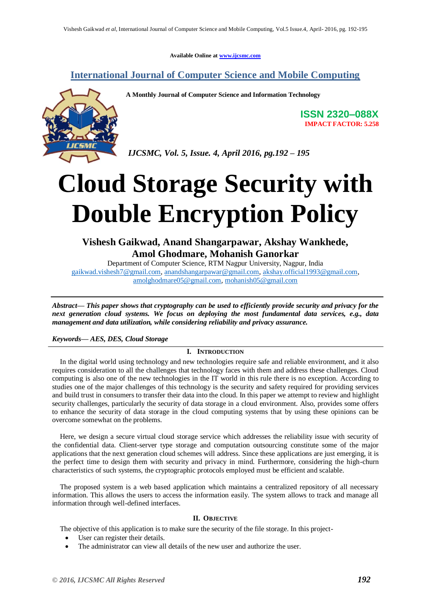**Available Online at [www.ijcsmc.com](http://www.ijcsmc.com/)**

# **International Journal of Computer Science and Mobile Computing**



**A Monthly Journal of Computer Science and Information Technology**

**ISSN 2320–088X IMPACT FACTOR: 5.258**

*IJCSMC, Vol. 5, Issue. 4, April 2016, pg.192 – 195*

# **Cloud Storage Security with Double Encryption Policy**

**Vishesh Gaikwad, Anand Shangarpawar, Akshay Wankhede, Amol Ghodmare, Mohanish Ganorkar**

Department of Computer Science, RTM Nagpur University, Nagpur, India [gaikwad.vishesh7@gmail.com,](mailto:gaikwad.vishesh7@gmail.com) [anandshangarpawar@gmail.com,](mailto:anandshangarpawar@gmail.com) [akshay.official1993@gmail.com,](mailto:akshay.official1993@gmail.com) [amolghodmare05@gmail.com,](mailto:amolghodmare05@gmail.com) [mohanish05@gmail.com](mailto:mohanish05@gmail.com)

*Abstract— This paper shows that cryptography can be used to efficiently provide security and privacy for the next generation cloud systems. We focus on deploying the most fundamental data services, e.g., data management and data utilization, while considering reliability and privacy assurance.*

# *Keywords— AES, DES, Cloud Storage*

# **I. INTRODUCTION**

In the digital world using technology and new technologies require safe and reliable environment, and it also requires consideration to all the challenges that technology faces with them and address these challenges. Cloud computing is also one of the new technologies in the IT world in this rule there is no exception. According to studies one of the major challenges of this technology is the security and safety required for providing services and build trust in consumers to transfer their data into the cloud. In this paper we attempt to review and highlight security challenges, particularly the security of data storage in a cloud environment. Also, provides some offers to enhance the security of data storage in the cloud computing systems that by using these opinions can be overcome somewhat on the problems.

Here, we design a secure virtual cloud storage service which addresses the reliability issue with security of the confidential data. Client-server type storage and computation outsourcing constitute some of the major applications that the next generation cloud schemes will address. Since these applications are just emerging, it is the perfect time to design them with security and privacy in mind. Furthermore, considering the high-churn characteristics of such systems, the cryptographic protocols employed must be efficient and scalable.

The proposed system is a web based application which maintains a centralized repository of all necessary information. This allows the users to access the information easily. The system allows to track and manage all information through well-defined interfaces.

#### **II. OBJECTIVE**

The objective of this application is to make sure the security of the file storage. In this project-

- User can register their details.
- The administrator can view all details of the new user and authorize the user.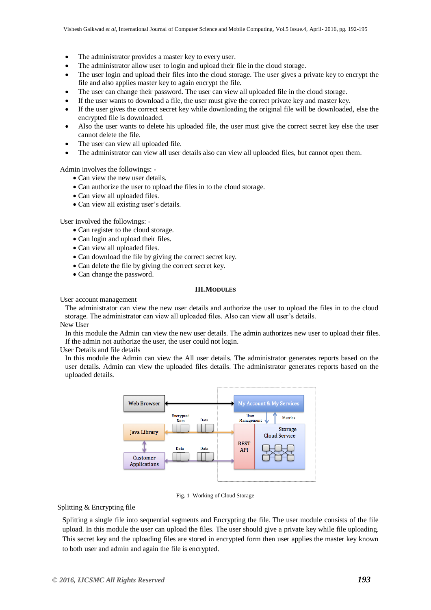- The administrator provides a master key to every user.
- The administrator allow user to login and upload their file in the cloud storage.
- The user login and upload their files into the cloud storage. The user gives a private key to encrypt the file and also applies master key to again encrypt the file.
- The user can change their password. The user can view all uploaded file in the cloud storage.
- If the user wants to download a file, the user must give the correct private key and master key.
- If the user gives the correct secret key while downloading the original file will be downloaded, else the encrypted file is downloaded.
- Also the user wants to delete his uploaded file, the user must give the correct secret key else the user cannot delete the file.
- The user can view all uploaded file.
- The administrator can view all user details also can view all uploaded files, but cannot open them.

Admin involves the followings: -

- Can view the new user details.
- Can authorize the user to upload the files in to the cloud storage.
- Can view all uploaded files.
- Can view all existing user's details.

User involved the followings: -

- Can register to the cloud storage.
- Can login and upload their files.
- Can view all uploaded files.
- Can download the file by giving the correct secret key.
- Can delete the file by giving the correct secret key.
- Can change the password.

### **III.MODULES**

User account management

The administrator can view the new user details and authorize the user to upload the files in to the cloud storage. The administrator can view all uploaded files. Also can view all user's details.

New User

In this module the Admin can view the new user details. The admin authorizes new user to upload their files. If the admin not authorize the user, the user could not login.

User Details and file details

In this module the Admin can view the All user details. The administrator generates reports based on the user details. Admin can view the uploaded files details. The administrator generates reports based on the uploaded details.



Fig. 1 Working of Cloud Storage

# Splitting & Encrypting file

Splitting a single file into sequential segments and Encrypting the file. The user module consists of the file upload. In this module the user can upload the files. The user should give a private key while file uploading. This secret key and the uploading files are stored in encrypted form then user applies the master key known to both user and admin and again the file is encrypted.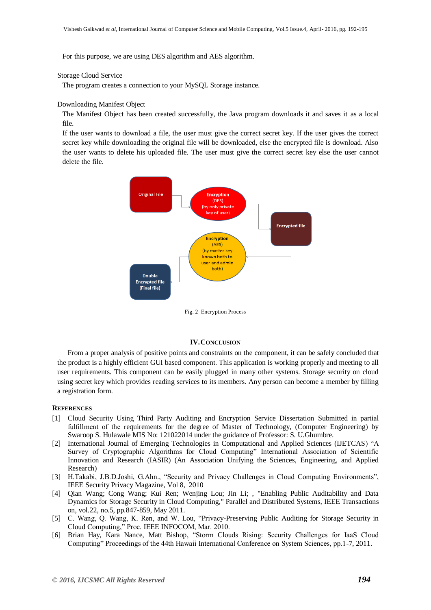For this purpose, we are using DES algorithm and AES algorithm.

## Storage Cloud Service

The program creates a connection to your MySQL Storage instance.

#### Downloading Manifest Object

The Manifest Object has been created successfully, the Java program downloads it and saves it as a local file.

If the user wants to download a file, the user must give the correct secret key. If the user gives the correct secret key while downloading the original file will be downloaded, else the encrypted file is download. Also the user wants to delete his uploaded file. The user must give the correct secret key else the user cannot delete the file.



Fig. 2 Encryption Process

#### **IV.CONCLUSION**

From a proper analysis of positive points and constraints on the component, it can be safely concluded that the product is a highly efficient GUI based component. This application is working properly and meeting to all user requirements. This component can be easily plugged in many other systems. Storage security on cloud using secret key which provides reading services to its members. Any person can become a member by filling a registration form.

### **REFERENCES**

- [1] Cloud Security Using Third Party Auditing and Encryption Service Dissertation Submitted in partial fulfillment of the requirements for the degree of Master of Technology, (Computer Engineering) by Swaroop S. Hulawale MIS No: 121022014 under the guidance of Professor: S. U.Ghumbre.
- [2] International Journal of Emerging Technologies in Computational and Applied Sciences (IJETCAS) "A Survey of Cryptographic Algorithms for Cloud Computing" International Association of Scientific Innovation and Research (IASIR) (An Association Unifying the Sciences, Engineering, and Applied Research)
- [3] H.Takabi, J.B.D.Joshi, G.Ahn., "Security and Privacy Challenges in Cloud Computing Environments", IEEE Security Privacy Magazine, Vol 8, 2010
- [4] Qian Wang; Cong Wang; Kui Ren; Wenjing Lou; Jin Li; , "Enabling Public Auditability and Data Dynamics for Storage Security in Cloud Computing," Parallel and Distributed Systems, IEEE Transactions on, vol.22, no.5, pp.847-859, May 2011.
- [5] C. Wang, Q. Wang, K. Ren, and W. Lou, "Privacy-Preserving Public Auditing for Storage Security in Cloud Computing," Proc. IEEE INFOCOM, Mar. 2010.
- [6] Brian Hay, Kara Nance, Matt Bishop, "Storm Clouds Rising: Security Challenges for IaaS Cloud Computing" Proceedings of the 44th Hawaii International Conference on System Sciences, pp.1-7, 2011.